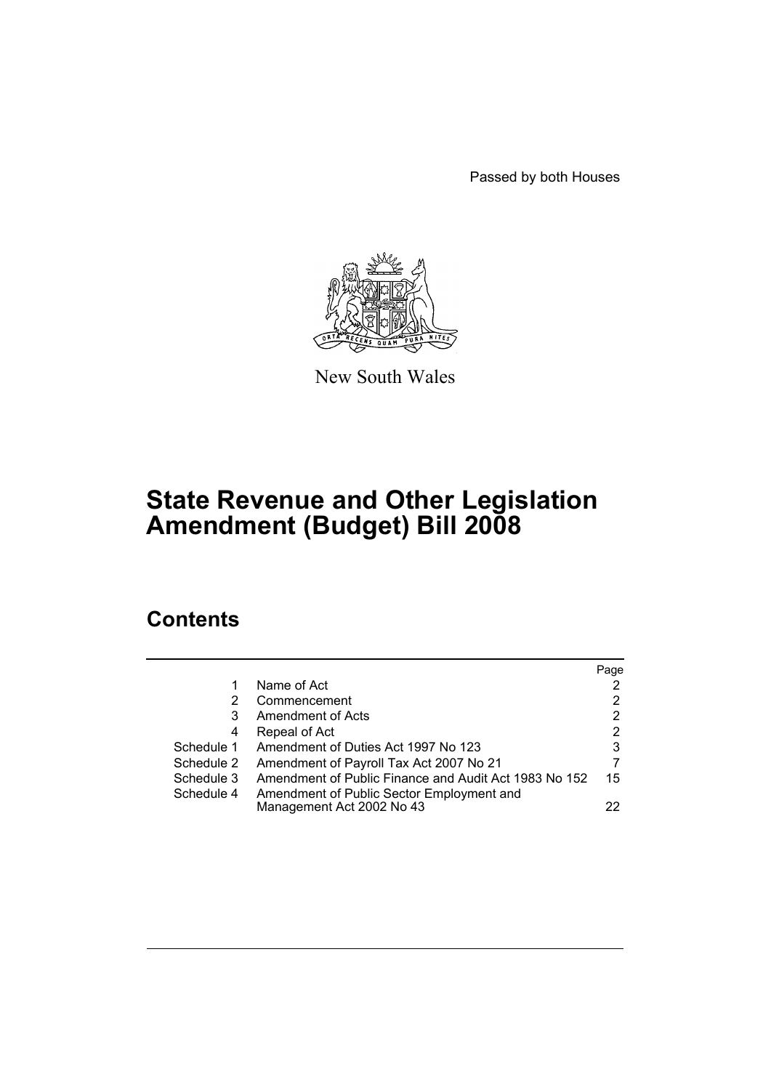Passed by both Houses



New South Wales

# **State Revenue and Other Legislation Amendment (Budget) Bill 2008**

# **Contents**

|            |                                                       | Page |
|------------|-------------------------------------------------------|------|
|            | Name of Act                                           |      |
| 2          | Commencement                                          | 2    |
| 3          | Amendment of Acts                                     | 2    |
| 4          | Repeal of Act                                         | 2    |
| Schedule 1 | Amendment of Duties Act 1997 No 123                   | 3    |
| Schedule 2 | Amendment of Payroll Tax Act 2007 No 21               |      |
| Schedule 3 | Amendment of Public Finance and Audit Act 1983 No 152 | 15   |
| Schedule 4 | Amendment of Public Sector Employment and             |      |
|            | Management Act 2002 No 43                             | 22   |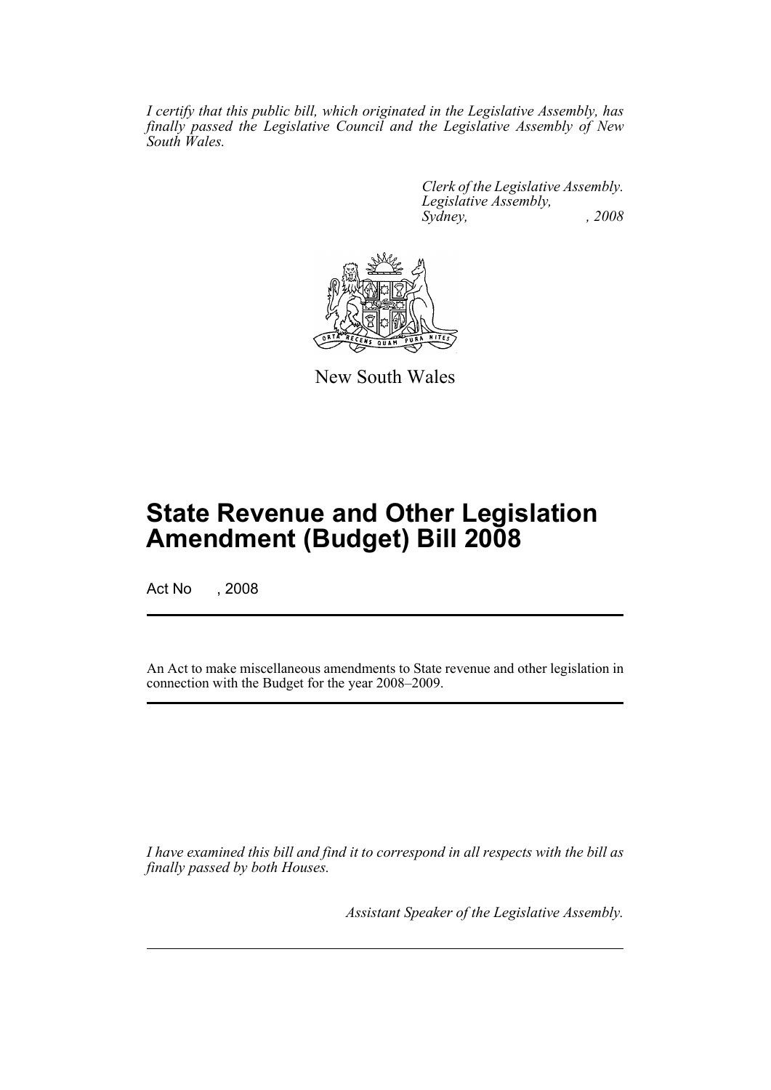*I certify that this public bill, which originated in the Legislative Assembly, has finally passed the Legislative Council and the Legislative Assembly of New South Wales.*

> *Clerk of the Legislative Assembly. Legislative Assembly, Sydney, , 2008*



New South Wales

# **State Revenue and Other Legislation Amendment (Budget) Bill 2008**

Act No , 2008

An Act to make miscellaneous amendments to State revenue and other legislation in connection with the Budget for the year 2008–2009.

*I have examined this bill and find it to correspond in all respects with the bill as finally passed by both Houses.*

*Assistant Speaker of the Legislative Assembly.*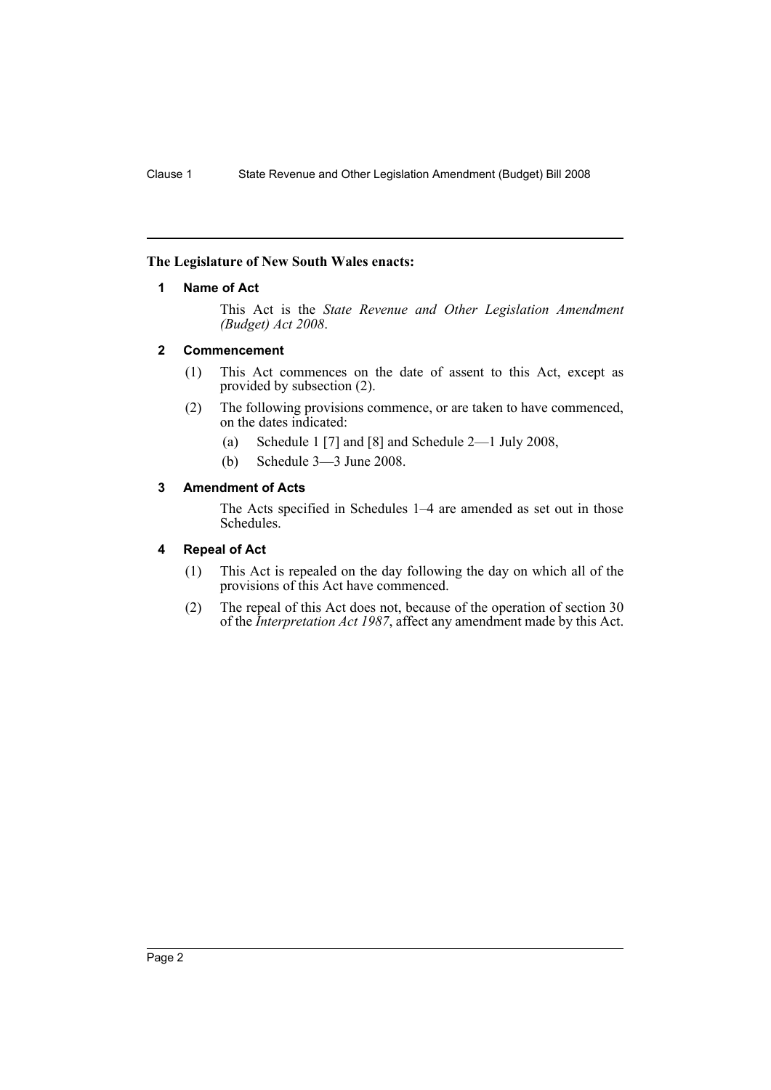### **The Legislature of New South Wales enacts:**

#### **1 Name of Act**

This Act is the *State Revenue and Other Legislation Amendment (Budget) Act 2008*.

#### **2 Commencement**

- (1) This Act commences on the date of assent to this Act, except as provided by subsection (2).
- (2) The following provisions commence, or are taken to have commenced, on the dates indicated:
	- (a) Schedule 1 [7] and [8] and Schedule 2—1 July 2008,
	- (b) Schedule 3—3 June 2008.

# **3 Amendment of Acts**

The Acts specified in Schedules 1–4 are amended as set out in those Schedules.

### **4 Repeal of Act**

- (1) This Act is repealed on the day following the day on which all of the provisions of this Act have commenced.
- (2) The repeal of this Act does not, because of the operation of section 30 of the *Interpretation Act 1987*, affect any amendment made by this Act.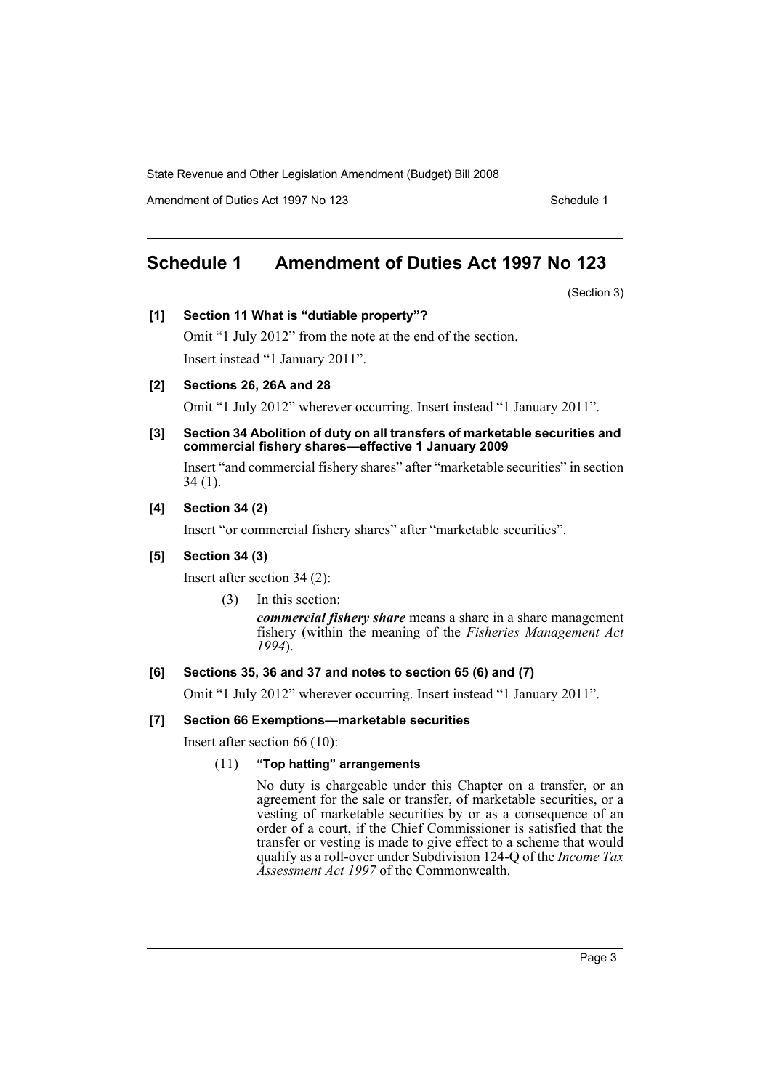Amendment of Duties Act 1997 No 123 Schedule 1

# **Schedule 1 Amendment of Duties Act 1997 No 123**

(Section 3)

#### **[1] Section 11 What is "dutiable property"?**

Omit "1 July 2012" from the note at the end of the section. Insert instead "1 January 2011".

# **[2] Sections 26, 26A and 28**

Omit "1 July 2012" wherever occurring. Insert instead "1 January 2011".

#### **[3] Section 34 Abolition of duty on all transfers of marketable securities and commercial fishery shares—effective 1 January 2009**

Insert "and commercial fishery shares" after "marketable securities" in section 34 (1).

### **[4] Section 34 (2)**

Insert "or commercial fishery shares" after "marketable securities".

#### **[5] Section 34 (3)**

Insert after section 34 (2):

(3) In this section:

*commercial fishery share* means a share in a share management fishery (within the meaning of the *Fisheries Management Act 1994*).

# **[6] Sections 35, 36 and 37 and notes to section 65 (6) and (7)**

Omit "1 July 2012" wherever occurring. Insert instead "1 January 2011".

# **[7] Section 66 Exemptions—marketable securities**

Insert after section 66 (10):

# (11) **"Top hatting" arrangements**

No duty is chargeable under this Chapter on a transfer, or an agreement for the sale or transfer, of marketable securities, or a vesting of marketable securities by or as a consequence of an order of a court, if the Chief Commissioner is satisfied that the transfer or vesting is made to give effect to a scheme that would qualify as a roll-over under Subdivision 124-Q of the *Income Tax Assessment Act 1997* of the Commonwealth.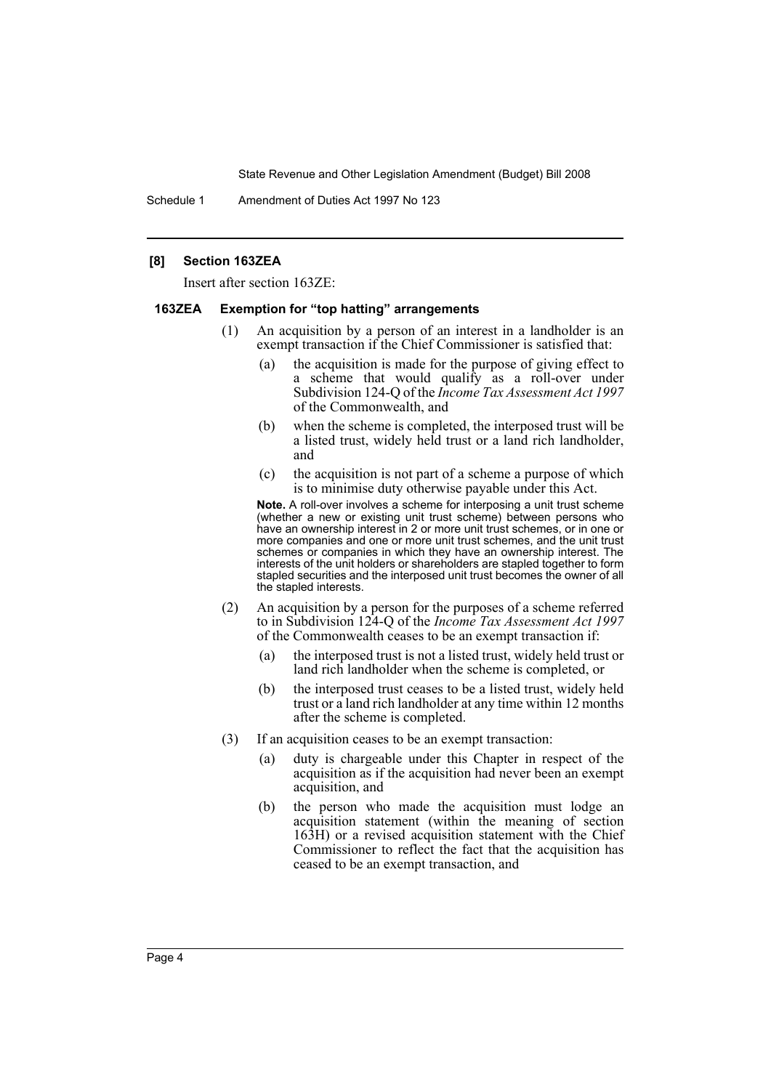Schedule 1 Amendment of Duties Act 1997 No 123

#### **[8] Section 163ZEA**

Insert after section 163ZE:

#### **163ZEA Exemption for "top hatting" arrangements**

- (1) An acquisition by a person of an interest in a landholder is an exempt transaction if the Chief Commissioner is satisfied that:
	- (a) the acquisition is made for the purpose of giving effect to a scheme that would qualify as a roll-over under Subdivision 124-Q of the *Income Tax Assessment Act 1997* of the Commonwealth, and
	- (b) when the scheme is completed, the interposed trust will be a listed trust, widely held trust or a land rich landholder, and
	- (c) the acquisition is not part of a scheme a purpose of which is to minimise duty otherwise payable under this Act.

**Note.** A roll-over involves a scheme for interposing a unit trust scheme (whether a new or existing unit trust scheme) between persons who have an ownership interest in 2 or more unit trust schemes, or in one or more companies and one or more unit trust schemes, and the unit trust schemes or companies in which they have an ownership interest. The interests of the unit holders or shareholders are stapled together to form stapled securities and the interposed unit trust becomes the owner of all the stapled interests.

- (2) An acquisition by a person for the purposes of a scheme referred to in Subdivision 124-Q of the *Income Tax Assessment Act 1997* of the Commonwealth ceases to be an exempt transaction if:
	- (a) the interposed trust is not a listed trust, widely held trust or land rich landholder when the scheme is completed, or
	- (b) the interposed trust ceases to be a listed trust, widely held trust or a land rich landholder at any time within 12 months after the scheme is completed.
- (3) If an acquisition ceases to be an exempt transaction:
	- (a) duty is chargeable under this Chapter in respect of the acquisition as if the acquisition had never been an exempt acquisition, and
	- (b) the person who made the acquisition must lodge an acquisition statement (within the meaning of section 163H) or a revised acquisition statement with the Chief Commissioner to reflect the fact that the acquisition has ceased to be an exempt transaction, and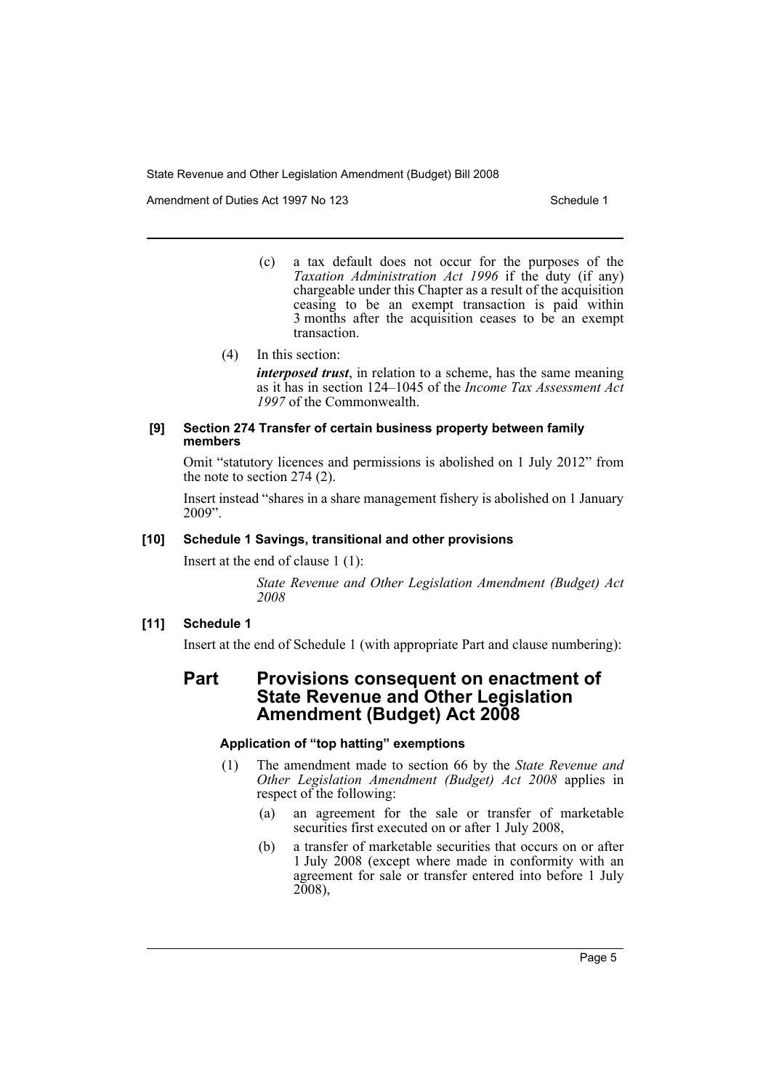Amendment of Duties Act 1997 No 123 Schedule 1

- (c) a tax default does not occur for the purposes of the *Taxation Administration Act 1996* if the duty (if any) chargeable under this Chapter as a result of the acquisition ceasing to be an exempt transaction is paid within 3 months after the acquisition ceases to be an exempt transaction.
- (4) In this section:

*interposed trust*, in relation to a scheme, has the same meaning as it has in section 124–1045 of the *Income Tax Assessment Act 1997* of the Commonwealth.

#### **[9] Section 274 Transfer of certain business property between family members**

Omit "statutory licences and permissions is abolished on 1 July 2012" from the note to section 274 (2).

Insert instead "shares in a share management fishery is abolished on 1 January 2009".

# **[10] Schedule 1 Savings, transitional and other provisions**

Insert at the end of clause 1 (1):

*State Revenue and Other Legislation Amendment (Budget) Act 2008*

# **[11] Schedule 1**

Insert at the end of Schedule 1 (with appropriate Part and clause numbering):

# **Part Provisions consequent on enactment of State Revenue and Other Legislation Amendment (Budget) Act 2008**

#### **Application of "top hatting" exemptions**

- (1) The amendment made to section 66 by the *State Revenue and Other Legislation Amendment (Budget) Act 2008* applies in respect of the following:
	- (a) an agreement for the sale or transfer of marketable securities first executed on or after 1 July 2008,
	- (b) a transfer of marketable securities that occurs on or after 1 July 2008 (except where made in conformity with an agreement for sale or transfer entered into before 1 July 2008),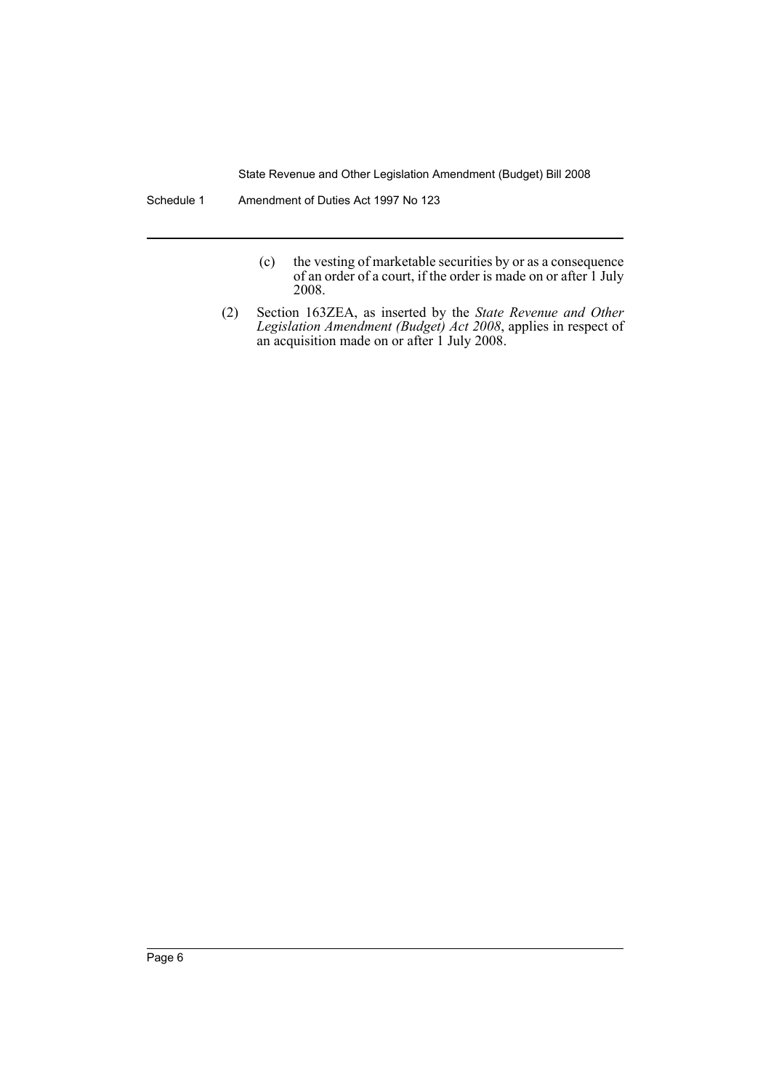Schedule 1 Amendment of Duties Act 1997 No 123

- (c) the vesting of marketable securities by or as a consequence of an order of a court, if the order is made on or after 1 July 2008.
- (2) Section 163ZEA, as inserted by the *State Revenue and Other Legislation Amendment (Budget) Act 2008*, applies in respect of an acquisition made on or after 1 July 2008.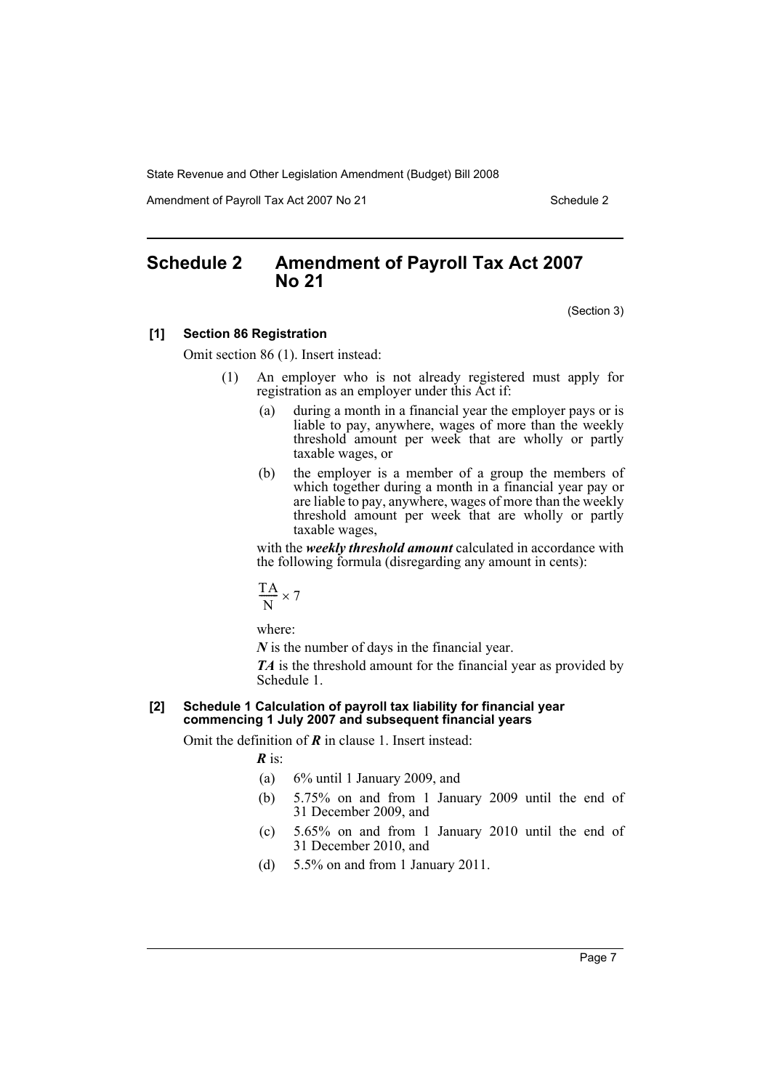Amendment of Payroll Tax Act 2007 No 21 Schedule 2

# **Schedule 2 Amendment of Payroll Tax Act 2007 No 21**

(Section 3)

#### **[1] Section 86 Registration**

Omit section 86 (1). Insert instead:

- (1) An employer who is not already registered must apply for registration as an employer under this Act if:
	- (a) during a month in a financial year the employer pays or is liable to pay, anywhere, wages of more than the weekly threshold amount per week that are wholly or partly taxable wages, or
	- (b) the employer is a member of a group the members of which together during a month in a financial year pay or are liable to pay, anywhere, wages of more than the weekly threshold amount per week that are wholly or partly taxable wages,

with the *weekly threshold amount* calculated in accordance with the following formula (disregarding any amount in cents):

$$
\frac{TA}{N}\times 7
$$

where:

*N* is the number of days in the financial year.

*TA* is the threshold amount for the financial year as provided by Schedule 1.

### **[2] Schedule 1 Calculation of payroll tax liability for financial year commencing 1 July 2007 and subsequent financial years**

Omit the definition of *R* in clause 1. Insert instead:

*R* is:

- (a) 6% until 1 January 2009, and
- (b) 5.75% on and from 1 January 2009 until the end of 31 December 2009, and
- (c) 5.65% on and from 1 January 2010 until the end of 31 December 2010, and
- (d) 5.5% on and from 1 January 2011.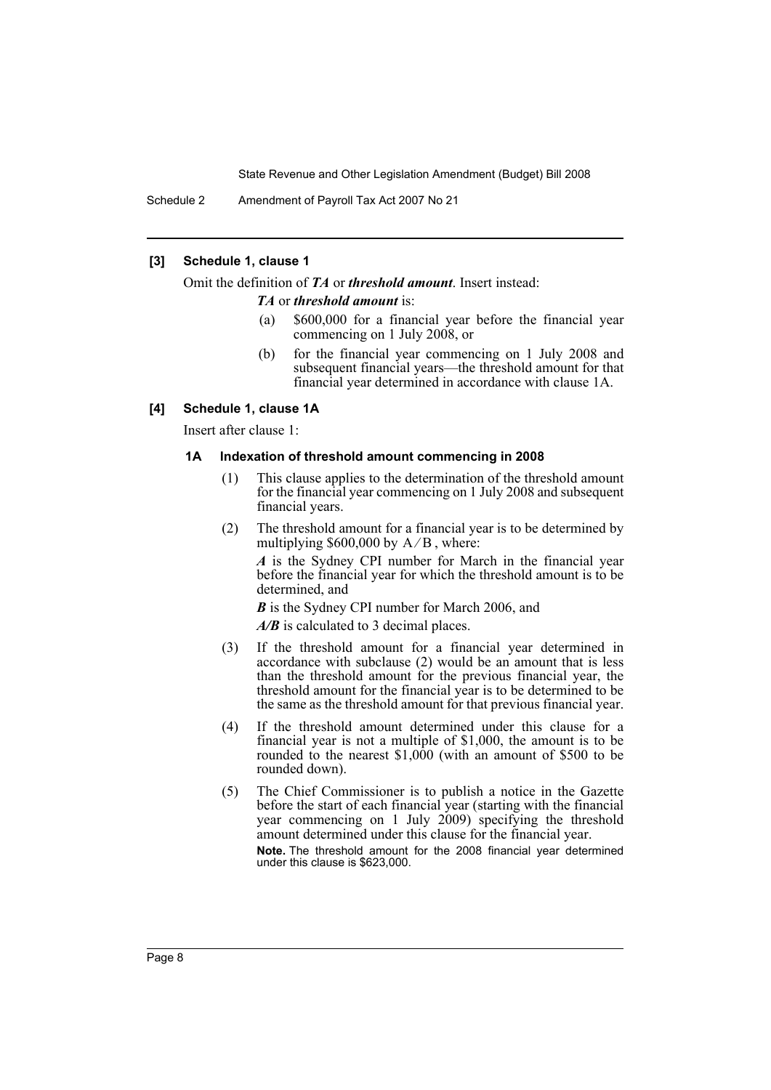Schedule 2 Amendment of Payroll Tax Act 2007 No 21

### **[3] Schedule 1, clause 1**

Omit the definition of *TA* or *threshold amount*. Insert instead:

*TA* or *threshold amount* is:

- (a) \$600,000 for a financial year before the financial year commencing on 1 July 2008, or
- (b) for the financial year commencing on 1 July 2008 and subsequent financial years—the threshold amount for that financial year determined in accordance with clause 1A.

#### **[4] Schedule 1, clause 1A**

Insert after clause 1:

#### **1A Indexation of threshold amount commencing in 2008**

- (1) This clause applies to the determination of the threshold amount for the financial year commencing on 1 July 2008 and subsequent financial years.
- (2) The threshold amount for a financial year is to be determined by multiplying  $$600,000$  by  $A/B$ , where:

*A* is the Sydney CPI number for March in the financial year before the financial year for which the threshold amount is to be determined, and

*B* is the Sydney CPI number for March 2006, and

*A/B* is calculated to 3 decimal places.

- (3) If the threshold amount for a financial year determined in accordance with subclause (2) would be an amount that is less than the threshold amount for the previous financial year, the threshold amount for the financial year is to be determined to be the same as the threshold amount for that previous financial year.
- (4) If the threshold amount determined under this clause for a financial year is not a multiple of \$1,000, the amount is to be rounded to the nearest \$1,000 (with an amount of \$500 to be rounded down).
- (5) The Chief Commissioner is to publish a notice in the Gazette before the start of each financial year (starting with the financial year commencing on 1 July 2009) specifying the threshold amount determined under this clause for the financial year.

**Note.** The threshold amount for the 2008 financial year determined under this clause is \$623,000.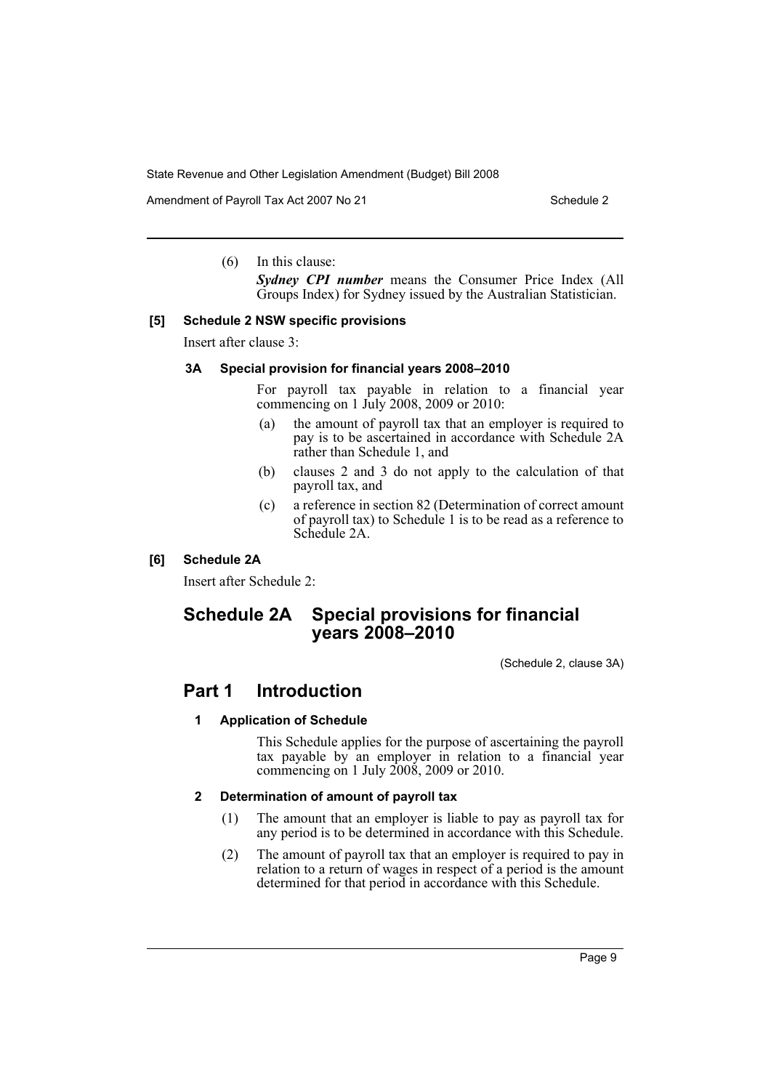Amendment of Payroll Tax Act 2007 No 21 Schedule 2

(6) In this clause:

*Sydney CPI number* means the Consumer Price Index (All Groups Index) for Sydney issued by the Australian Statistician.

#### **[5] Schedule 2 NSW specific provisions**

Insert after clause 3:

#### **3A Special provision for financial years 2008–2010**

For payroll tax payable in relation to a financial year commencing on 1 July 2008, 2009 or 2010:

- (a) the amount of payroll tax that an employer is required to pay is to be ascertained in accordance with Schedule 2A rather than Schedule 1, and
- (b) clauses 2 and 3 do not apply to the calculation of that payroll tax, and
- (c) a reference in section 82 (Determination of correct amount of payroll tax) to Schedule 1 is to be read as a reference to Schedule 2A.

# **[6] Schedule 2A**

Insert after Schedule 2:

# **Schedule 2A Special provisions for financial years 2008–2010**

(Schedule 2, clause 3A)

# **Part 1 Introduction**

# **1 Application of Schedule**

This Schedule applies for the purpose of ascertaining the payroll tax payable by an employer in relation to a financial year commencing on 1 July 2008, 2009 or 2010.

# **2 Determination of amount of payroll tax**

- (1) The amount that an employer is liable to pay as payroll tax for any period is to be determined in accordance with this Schedule.
- (2) The amount of payroll tax that an employer is required to pay in relation to a return of wages in respect of a period is the amount determined for that period in accordance with this Schedule.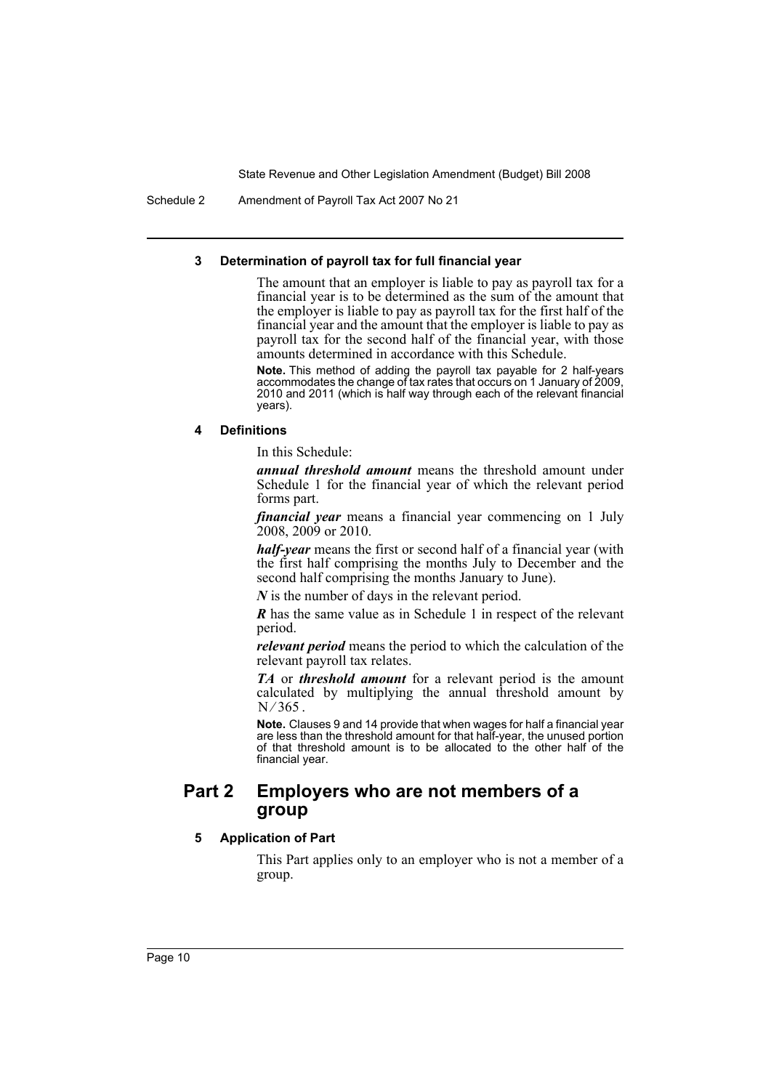Schedule 2 Amendment of Payroll Tax Act 2007 No 21

#### **3 Determination of payroll tax for full financial year**

The amount that an employer is liable to pay as payroll tax for a financial year is to be determined as the sum of the amount that the employer is liable to pay as payroll tax for the first half of the financial year and the amount that the employer is liable to pay as payroll tax for the second half of the financial year, with those amounts determined in accordance with this Schedule.

**Note.** This method of adding the payroll tax payable for 2 half-years accommodates the change of tax rates that occurs on 1 January of 2009, 2010 and 2011 (which is half way through each of the relevant financial years).

#### **4 Definitions**

In this Schedule:

*annual threshold amount* means the threshold amount under Schedule 1 for the financial year of which the relevant period forms part.

*financial year* means a financial year commencing on 1 July 2008, 2009 or 2010.

*half-year* means the first or second half of a financial year (with the first half comprising the months July to December and the second half comprising the months January to June).

*N* is the number of days in the relevant period.

*R* has the same value as in Schedule 1 in respect of the relevant period.

*relevant period* means the period to which the calculation of the relevant payroll tax relates.

*TA* or *threshold amount* for a relevant period is the amount calculated by multiplying the annual threshold amount by  $N/365$ .

**Note.** Clauses 9 and 14 provide that when wages for half a financial year are less than the threshold amount for that half-year, the unused portion of that threshold amount is to be allocated to the other half of the financial year.

# **Part 2 Employers who are not members of a group**

#### **5 Application of Part**

This Part applies only to an employer who is not a member of a group.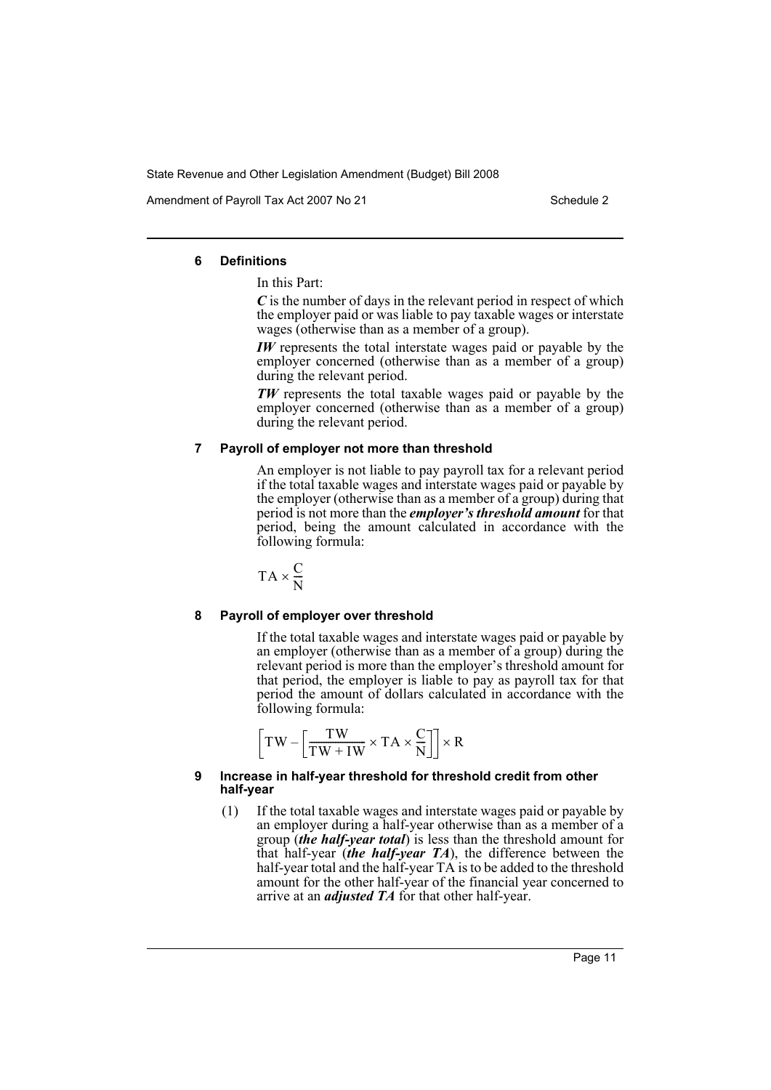Amendment of Payroll Tax Act 2007 No 21 Schedule 2

#### **6 Definitions**

#### In this Part:

*C* is the number of days in the relevant period in respect of which the employer paid or was liable to pay taxable wages or interstate wages (otherwise than as a member of a group).

*IW* represents the total interstate wages paid or payable by the employer concerned (otherwise than as a member of a group) during the relevant period.

*TW* represents the total taxable wages paid or payable by the employer concerned (otherwise than as a member of a group) during the relevant period.

#### **7 Payroll of employer not more than threshold**

An employer is not liable to pay payroll tax for a relevant period if the total taxable wages and interstate wages paid or payable by the employer (otherwise than as a member of a group) during that period is not more than the *employer's threshold amount* for that period, being the amount calculated in accordance with the following formula:

$$
TA \times \frac{C}{N}
$$

# **8 Payroll of employer over threshold**

If the total taxable wages and interstate wages paid or payable by an employer (otherwise than as a member of a group) during the relevant period is more than the employer's threshold amount for that period, the employer is liable to pay as payroll tax for that period the amount of dollars calculated in accordance with the following formula:

$$
\left[ TW - \left[ \frac{TW}{TW + IW} \times TA \times \frac{C}{N} \right] \right] \times R
$$

#### **9 Increase in half-year threshold for threshold credit from other half-year**

(1) If the total taxable wages and interstate wages paid or payable by an employer during a half-year otherwise than as a member of a group (*the half-year total*) is less than the threshold amount for that half-year (*the half-year TA*), the difference between the half-year total and the half-year TA is to be added to the threshold amount for the other half-year of the financial year concerned to arrive at an *adjusted TA* for that other half-year.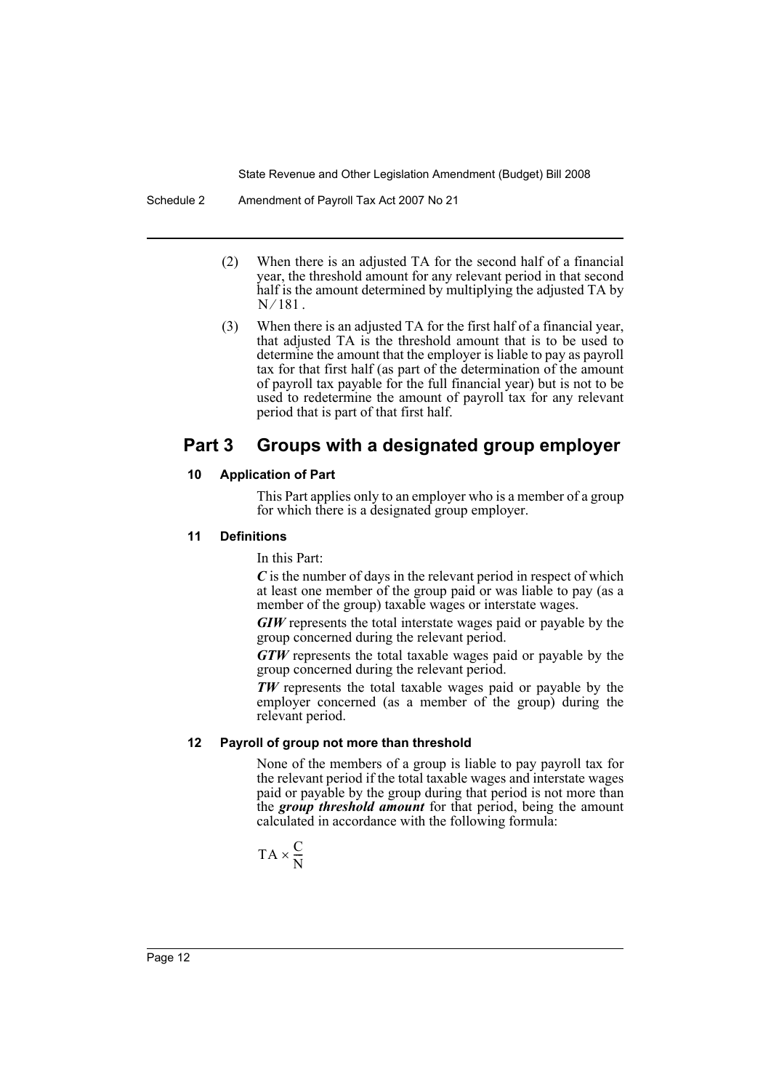Schedule 2 Amendment of Payroll Tax Act 2007 No 21

- (2) When there is an adjusted TA for the second half of a financial year, the threshold amount for any relevant period in that second half is the amount determined by multiplying the adjusted TA by.  $N/181$ .
- (3) When there is an adjusted TA for the first half of a financial year, that adjusted TA is the threshold amount that is to be used to determine the amount that the employer is liable to pay as payroll tax for that first half (as part of the determination of the amount of payroll tax payable for the full financial year) but is not to be used to redetermine the amount of payroll tax for any relevant period that is part of that first half.

# **Part 3 Groups with a designated group employer**

# **10 Application of Part**

This Part applies only to an employer who is a member of a group for which there is a designated group employer.

# **11 Definitions**

In this Part:

*C* is the number of days in the relevant period in respect of which at least one member of the group paid or was liable to pay (as a member of the group) taxable wages or interstate wages.

*GIW* represents the total interstate wages paid or payable by the group concerned during the relevant period.

*GTW* represents the total taxable wages paid or payable by the group concerned during the relevant period.

*TW* represents the total taxable wages paid or payable by the employer concerned (as a member of the group) during the relevant period.

# **12 Payroll of group not more than threshold**

None of the members of a group is liable to pay payroll tax for the relevant period if the total taxable wages and interstate wages paid or payable by the group during that period is not more than the *group threshold amount* for that period, being the amount calculated in accordance with the following formula:

$$
TA \times \frac{C}{N}
$$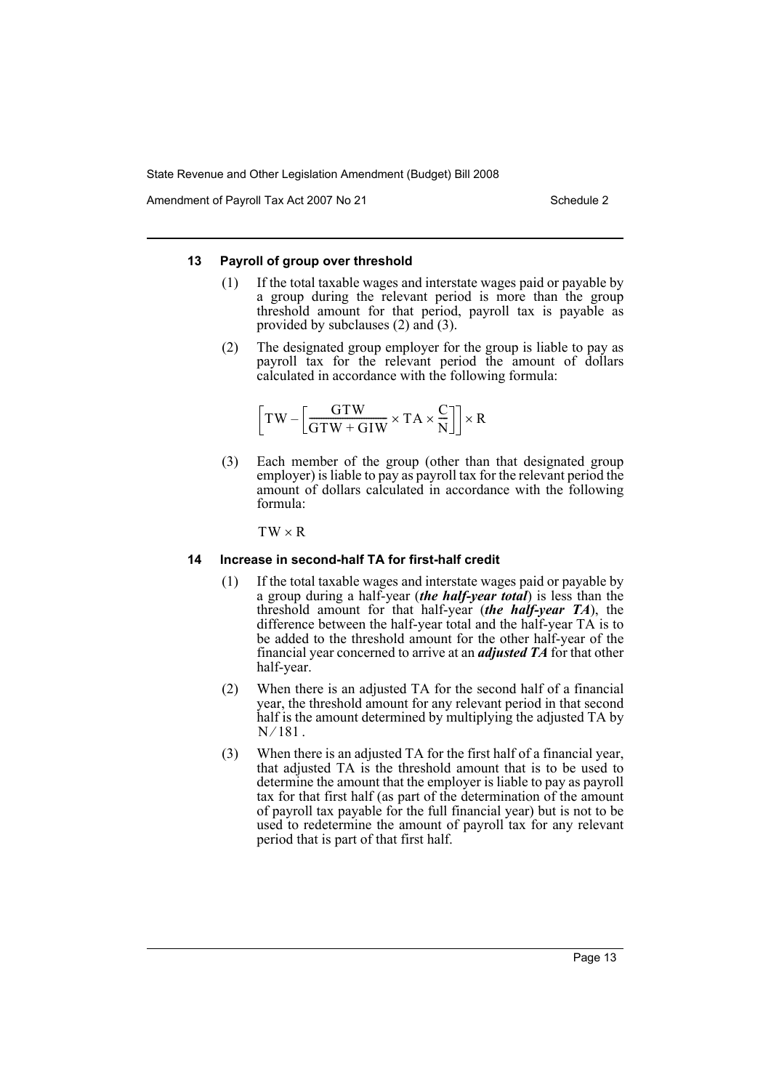Amendment of Payroll Tax Act 2007 No 21 Schedule 2

#### **13 Payroll of group over threshold**

- (1) If the total taxable wages and interstate wages paid or payable by a group during the relevant period is more than the group threshold amount for that period, payroll tax is payable as provided by subclauses (2) and (3).
- (2) The designated group employer for the group is liable to pay as payroll tax for the relevant period the amount of dollars calculated in accordance with the following formula:

$$
\left[\text{T} \text{W} - \left[\frac{\text{G} \text{T} \text{W}}{\text{G} \text{T} \text{W} + \text{G} \text{I} \text{W}} \times \text{T} \text{A} \times \frac{\text{C}}{\text{N}}\right]\right] \times \text{R}
$$

(3) Each member of the group (other than that designated group employer) is liable to pay as payroll tax for the relevant period the amount of dollars calculated in accordance with the following formula:

 $TW \times R$ 

#### **14 Increase in second-half TA for first-half credit**

- (1) If the total taxable wages and interstate wages paid or payable by a group during a half-year (*the half-year total*) is less than the threshold amount for that half-year (*the half-year TA*), the difference between the half-year total and the half-year TA is to be added to the threshold amount for the other half-year of the financial year concerned to arrive at an *adjusted TA* for that other half-year.
- (2) When there is an adjusted TA for the second half of a financial year, the threshold amount for any relevant period in that second half is the amount determined by multiplying the adjusted TA by.  $N/181$ .
- (3) When there is an adjusted TA for the first half of a financial year, that adjusted TA is the threshold amount that is to be used to determine the amount that the employer is liable to pay as payroll tax for that first half (as part of the determination of the amount of payroll tax payable for the full financial year) but is not to be used to redetermine the amount of payroll tax for any relevant period that is part of that first half.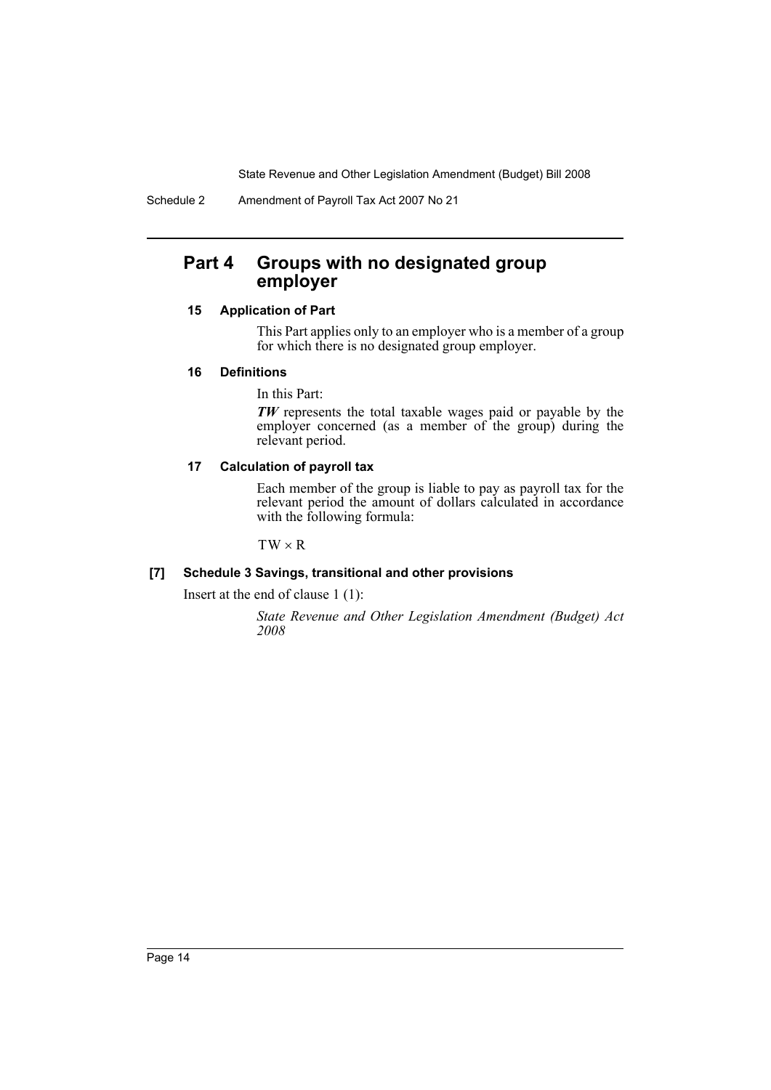Schedule 2 Amendment of Payroll Tax Act 2007 No 21

# **Part 4 Groups with no designated group employer**

# **15 Application of Part**

This Part applies only to an employer who is a member of a group for which there is no designated group employer.

# **16 Definitions**

In this Part:

*TW* represents the total taxable wages paid or payable by the employer concerned (as a member of the group) during the relevant period.

# **17 Calculation of payroll tax**

Each member of the group is liable to pay as payroll tax for the relevant period the amount of dollars calculated in accordance with the following formula:

 $TW \times R$ 

# **[7] Schedule 3 Savings, transitional and other provisions**

Insert at the end of clause 1 (1):

*State Revenue and Other Legislation Amendment (Budget) Act 2008*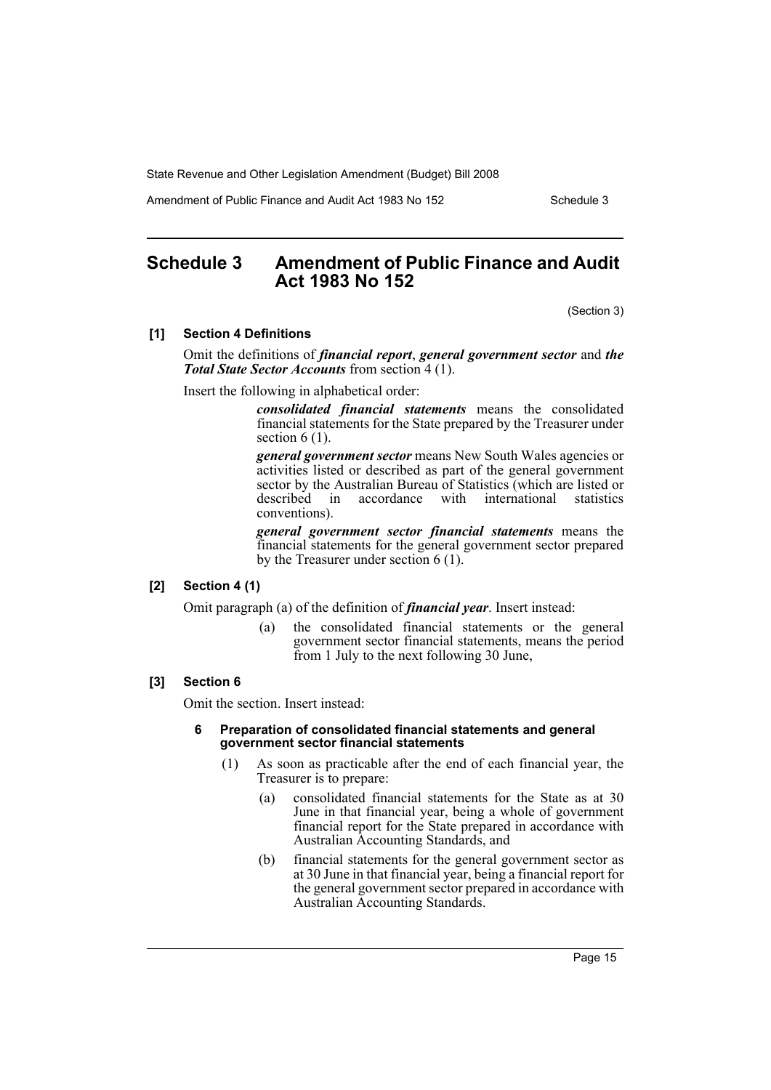Amendment of Public Finance and Audit Act 1983 No 152

# **Schedule 3 Amendment of Public Finance and Audit Act 1983 No 152**

(Section 3)

#### **[1] Section 4 Definitions**

Omit the definitions of *financial report*, *general government sector* and *the Total State Sector Accounts* from section 4 (1).

Insert the following in alphabetical order:

*consolidated financial statements* means the consolidated financial statements for the State prepared by the Treasurer under section  $6(1)$ .

*general government sector* means New South Wales agencies or activities listed or described as part of the general government sector by the Australian Bureau of Statistics (which are listed or described in accordance with international statistics conventions).

*general government sector financial statements* means the financial statements for the general government sector prepared by the Treasurer under section 6 (1).

### **[2] Section 4 (1)**

Omit paragraph (a) of the definition of *financial year*. Insert instead:

(a) the consolidated financial statements or the general government sector financial statements, means the period from 1 July to the next following 30 June,

#### **[3] Section 6**

Omit the section. Insert instead:

#### **6 Preparation of consolidated financial statements and general government sector financial statements**

- (1) As soon as practicable after the end of each financial year, the Treasurer is to prepare:
	- (a) consolidated financial statements for the State as at 30 June in that financial year, being a whole of government financial report for the State prepared in accordance with Australian Accounting Standards, and
	- (b) financial statements for the general government sector as at 30 June in that financial year, being a financial report for the general government sector prepared in accordance with Australian Accounting Standards.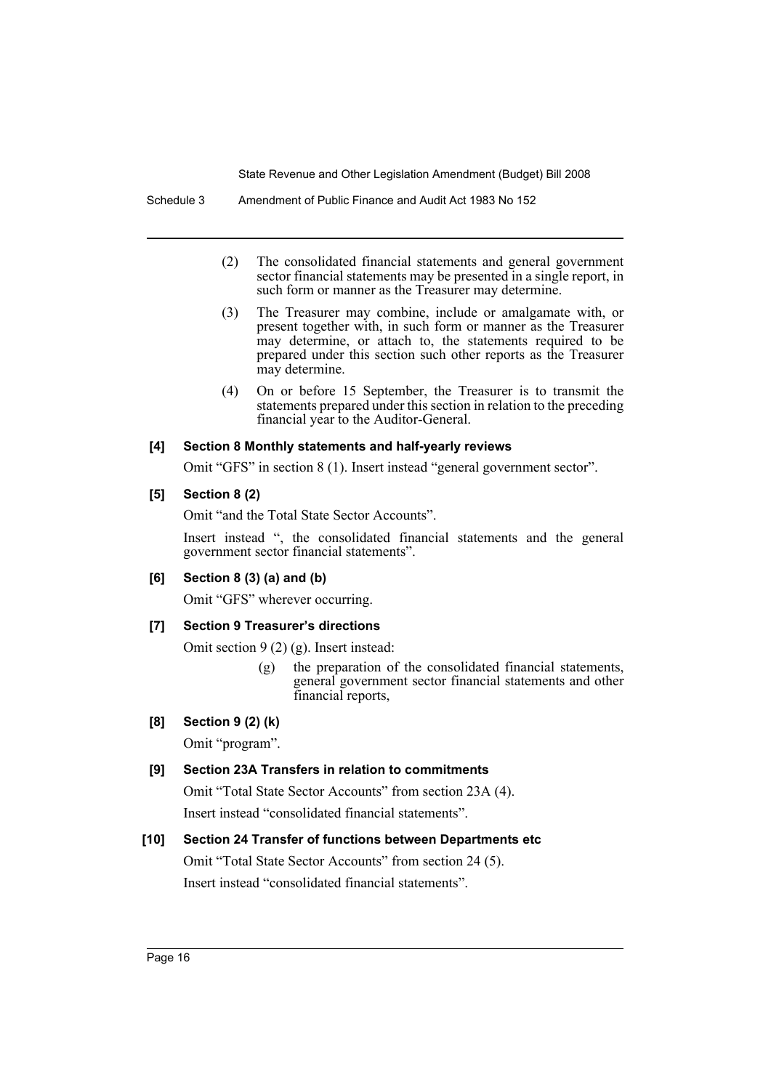- (2) The consolidated financial statements and general government sector financial statements may be presented in a single report, in such form or manner as the Treasurer may determine.
- (3) The Treasurer may combine, include or amalgamate with, or present together with, in such form or manner as the Treasurer may determine, or attach to, the statements required to be prepared under this section such other reports as the Treasurer may determine.
- (4) On or before 15 September, the Treasurer is to transmit the statements prepared under this section in relation to the preceding financial year to the Auditor-General.

#### **[4] Section 8 Monthly statements and half-yearly reviews**

Omit "GFS" in section 8 (1). Insert instead "general government sector".

#### **[5] Section 8 (2)**

Omit "and the Total State Sector Accounts".

Insert instead ", the consolidated financial statements and the general government sector financial statements".

# **[6] Section 8 (3) (a) and (b)**

Omit "GFS" wherever occurring.

# **[7] Section 9 Treasurer's directions**

Omit section 9 (2) (g). Insert instead:

(g) the preparation of the consolidated financial statements, general government sector financial statements and other financial reports,

# **[8] Section 9 (2) (k)**

Omit "program".

# **[9] Section 23A Transfers in relation to commitments**

Omit "Total State Sector Accounts" from section 23A (4).

Insert instead "consolidated financial statements".

# **[10] Section 24 Transfer of functions between Departments etc**

Omit "Total State Sector Accounts" from section 24 (5). Insert instead "consolidated financial statements".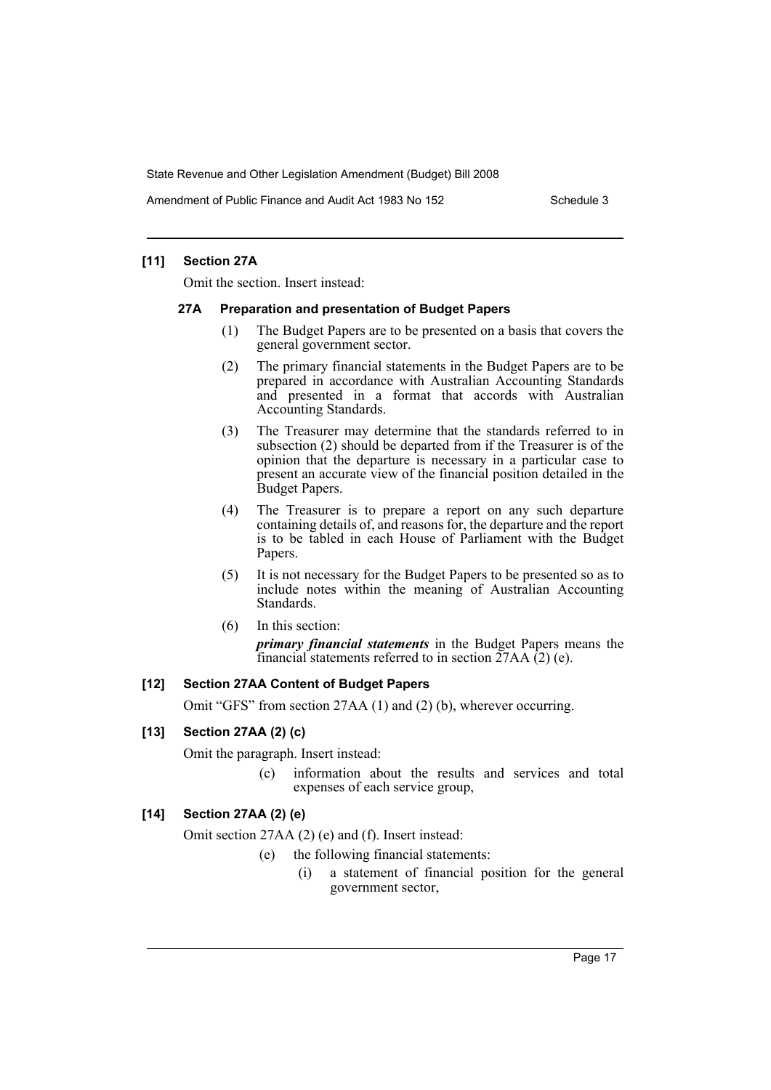Amendment of Public Finance and Audit Act 1983 No 152

### **[11] Section 27A**

Omit the section. Insert instead:

#### **27A Preparation and presentation of Budget Papers**

- (1) The Budget Papers are to be presented on a basis that covers the general government sector.
- (2) The primary financial statements in the Budget Papers are to be prepared in accordance with Australian Accounting Standards and presented in a format that accords with Australian Accounting Standards.
- (3) The Treasurer may determine that the standards referred to in subsection (2) should be departed from if the Treasurer is of the opinion that the departure is necessary in a particular case to present an accurate view of the financial position detailed in the Budget Papers.
- (4) The Treasurer is to prepare a report on any such departure containing details of, and reasons for, the departure and the report is to be tabled in each House of Parliament with the Budget Papers.
- (5) It is not necessary for the Budget Papers to be presented so as to include notes within the meaning of Australian Accounting Standards.
- (6) In this section:

*primary financial statements* in the Budget Papers means the financial statements referred to in section  $27AA(2)$  (e).

# **[12] Section 27AA Content of Budget Papers**

Omit "GFS" from section 27AA (1) and (2) (b), wherever occurring.

# **[13] Section 27AA (2) (c)**

Omit the paragraph. Insert instead:

(c) information about the results and services and total expenses of each service group,

# **[14] Section 27AA (2) (e)**

Omit section 27AA (2) (e) and (f). Insert instead:

- (e) the following financial statements:
	- (i) a statement of financial position for the general government sector,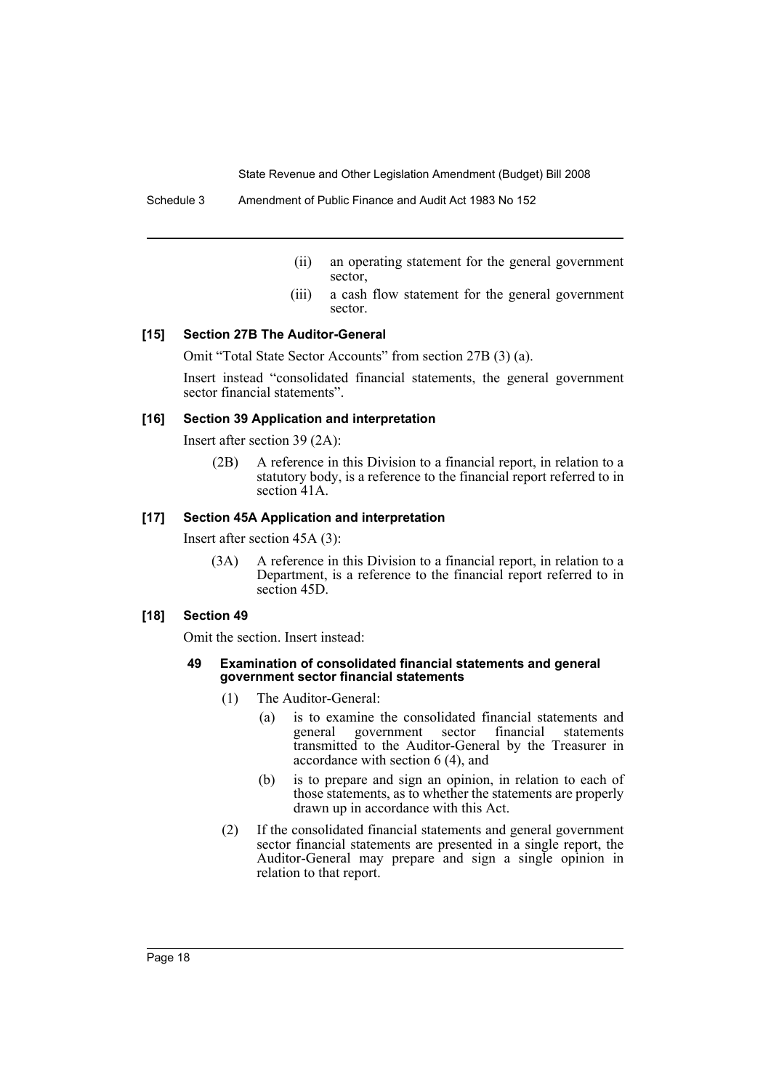- (ii) an operating statement for the general government sector,
- (iii) a cash flow statement for the general government sector.

# **[15] Section 27B The Auditor-General**

Omit "Total State Sector Accounts" from section 27B (3) (a).

Insert instead "consolidated financial statements, the general government sector financial statements".

### **[16] Section 39 Application and interpretation**

Insert after section 39 (2A):

(2B) A reference in this Division to a financial report, in relation to a statutory body, is a reference to the financial report referred to in section 41A

### **[17] Section 45A Application and interpretation**

Insert after section 45A (3):

(3A) A reference in this Division to a financial report, in relation to a Department, is a reference to the financial report referred to in section 45D.

#### **[18] Section 49**

Omit the section. Insert instead:

#### **49 Examination of consolidated financial statements and general government sector financial statements**

- (1) The Auditor-General:
	- (a) is to examine the consolidated financial statements and general government sector financial statements transmitted to the Auditor-General by the Treasurer in accordance with section 6 (4), and
	- (b) is to prepare and sign an opinion, in relation to each of those statements, as to whether the statements are properly drawn up in accordance with this Act.
- (2) If the consolidated financial statements and general government sector financial statements are presented in a single report, the Auditor-General may prepare and sign a single opinion in relation to that report.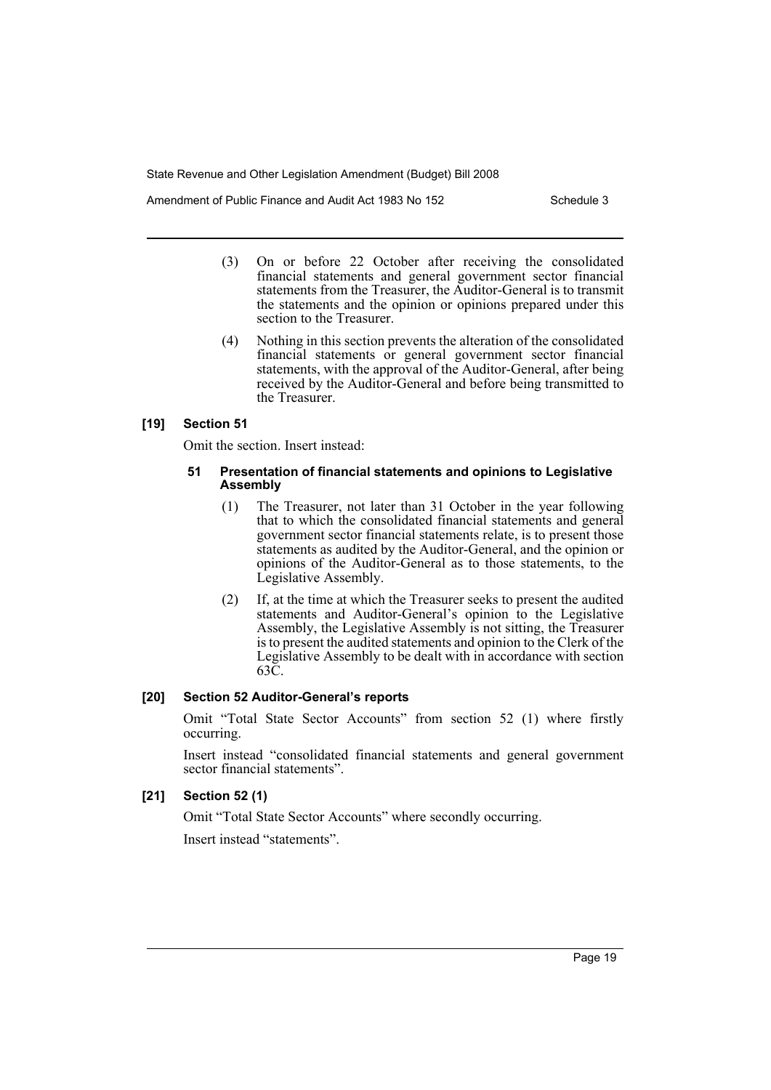Amendment of Public Finance and Audit Act 1983 No 152

- (3) On or before 22 October after receiving the consolidated financial statements and general government sector financial statements from the Treasurer, the Auditor-General is to transmit the statements and the opinion or opinions prepared under this section to the Treasurer.
- (4) Nothing in this section prevents the alteration of the consolidated financial statements or general government sector financial statements, with the approval of the Auditor-General, after being received by the Auditor-General and before being transmitted to the Treasurer.

# **[19] Section 51**

Omit the section. Insert instead:

#### **51 Presentation of financial statements and opinions to Legislative Assembly**

- (1) The Treasurer, not later than 31 October in the year following that to which the consolidated financial statements and general government sector financial statements relate, is to present those statements as audited by the Auditor-General, and the opinion or opinions of the Auditor-General as to those statements, to the Legislative Assembly.
- (2) If, at the time at which the Treasurer seeks to present the audited statements and Auditor-General's opinion to the Legislative Assembly, the Legislative Assembly is not sitting, the Treasurer is to present the audited statements and opinion to the Clerk of the Legislative Assembly to be dealt with in accordance with section 63C.

# **[20] Section 52 Auditor-General's reports**

Omit "Total State Sector Accounts" from section 52 (1) where firstly occurring.

Insert instead "consolidated financial statements and general government sector financial statements".

# **[21] Section 52 (1)**

Omit "Total State Sector Accounts" where secondly occurring.

Insert instead "statements".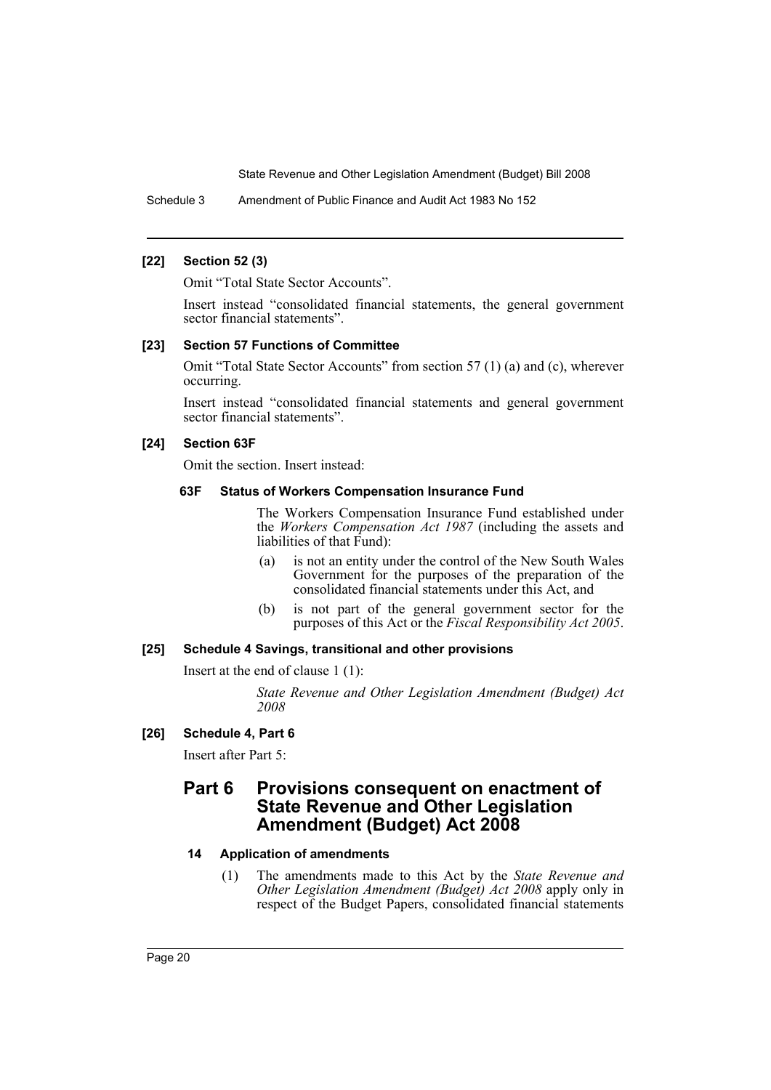Schedule 3 Amendment of Public Finance and Audit Act 1983 No 152

#### **[22] Section 52 (3)**

Omit "Total State Sector Accounts".

Insert instead "consolidated financial statements, the general government sector financial statements".

#### **[23] Section 57 Functions of Committee**

Omit "Total State Sector Accounts" from section 57 (1) (a) and (c), wherever occurring.

Insert instead "consolidated financial statements and general government sector financial statements".

#### **[24] Section 63F**

Omit the section. Insert instead:

#### **63F Status of Workers Compensation Insurance Fund**

The Workers Compensation Insurance Fund established under the *Workers Compensation Act 1987* (including the assets and liabilities of that Fund):

- (a) is not an entity under the control of the New South Wales Government for the purposes of the preparation of the consolidated financial statements under this Act, and
- (b) is not part of the general government sector for the purposes of this Act or the *Fiscal Responsibility Act 2005*.

#### **[25] Schedule 4 Savings, transitional and other provisions**

Insert at the end of clause 1 (1):

*State Revenue and Other Legislation Amendment (Budget) Act 2008*

# **[26] Schedule 4, Part 6**

Insert after Part 5:

# **Part 6 Provisions consequent on enactment of State Revenue and Other Legislation Amendment (Budget) Act 2008**

# **14 Application of amendments**

(1) The amendments made to this Act by the *State Revenue and Other Legislation Amendment (Budget) Act 2008* apply only in respect of the Budget Papers, consolidated financial statements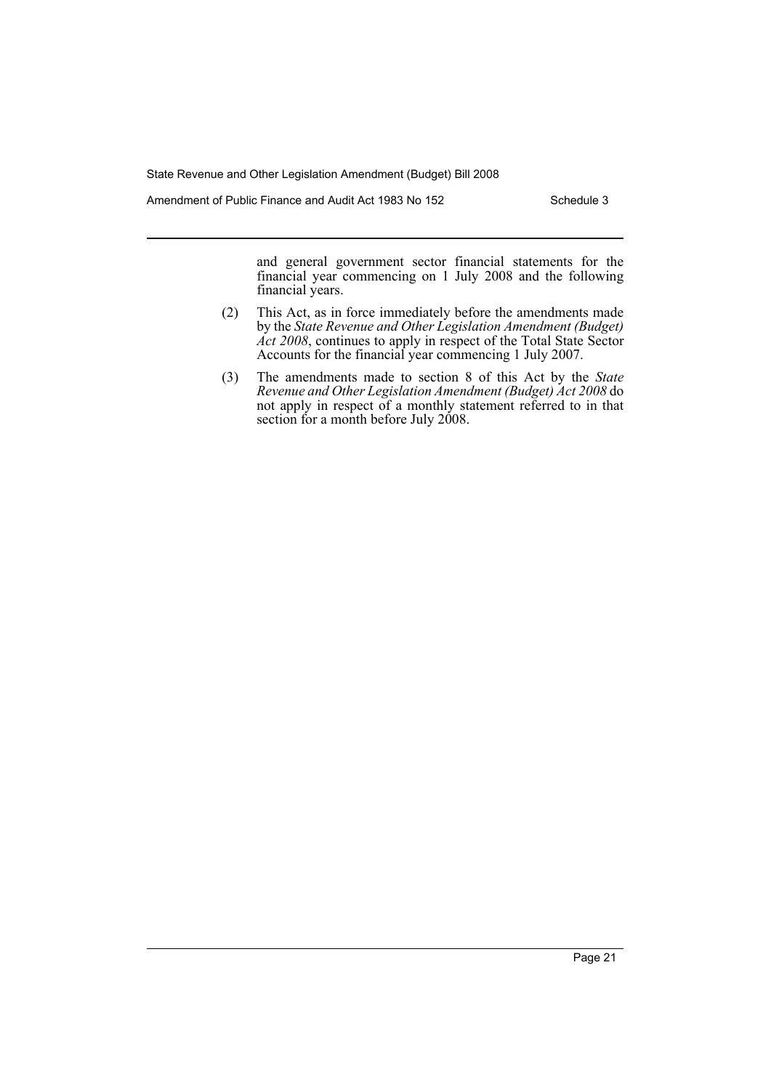Amendment of Public Finance and Audit Act 1983 No 152 Schedule 3

and general government sector financial statements for the financial year commencing on 1 July 2008 and the following financial years.

- (2) This Act, as in force immediately before the amendments made by the *State Revenue and Other Legislation Amendment (Budget) Act 2008*, continues to apply in respect of the Total State Sector Accounts for the financial year commencing 1 July 2007.
- (3) The amendments made to section 8 of this Act by the *State Revenue and Other Legislation Amendment (Budget) Act 2008* do not apply in respect of a monthly statement referred to in that section for a month before July 2008.